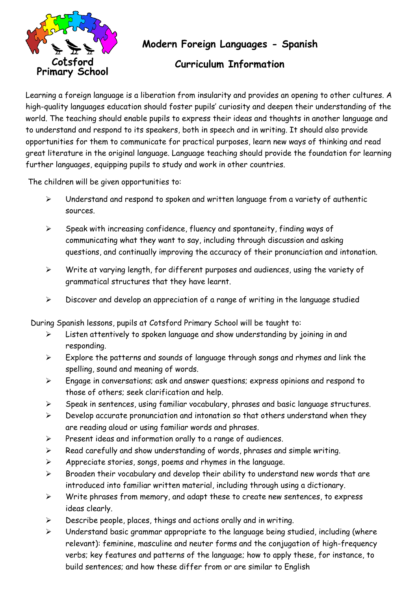

**Modern Foreign Languages - Spanish**

## **Curriculum Information**

Learning a foreign language is a liberation from insularity and provides an opening to other cultures. A high-quality languages education should foster pupils' curiosity and deepen their understanding of the world. The teaching should enable pupils to express their ideas and thoughts in another language and to understand and respond to its speakers, both in speech and in writing. It should also provide opportunities for them to communicate for practical purposes, learn new ways of thinking and read great literature in the original language. Language teaching should provide the foundation for learning further languages, equipping pupils to study and work in other countries.

The children will be given opportunities to:

- $\triangleright$  Understand and respond to spoken and written language from a variety of authentic sources.
- $\triangleright$  Speak with increasing confidence, fluency and spontaneity, finding ways of communicating what they want to say, including through discussion and asking questions, and continually improving the accuracy of their pronunciation and intonation.
- $\triangleright$  Write at varying length, for different purposes and audiences, using the variety of grammatical structures that they have learnt.
- $\triangleright$  Discover and develop an appreciation of a range of writing in the language studied

During Spanish lessons, pupils at Cotsford Primary School will be taught to:

- $\triangleright$  Listen attentively to spoken language and show understanding by joining in and responding.
- $\triangleright$  Explore the patterns and sounds of language through songs and rhymes and link the spelling, sound and meaning of words.
- $\triangleright$  Engage in conversations; ask and answer questions; express opinions and respond to those of others; seek clarification and help.
- $\triangleright$  Speak in sentences, using familiar vocabulary, phrases and basic language structures.
- $\triangleright$  Develop accurate pronunciation and intonation so that others understand when they are reading aloud or using familiar words and phrases.
- $\triangleright$  Present ideas and information orally to a range of audiences.
- $\triangleright$  Read carefully and show understanding of words, phrases and simple writing.
- $\triangleright$  Appreciate stories, songs, poems and rhymes in the language.
- $\triangleright$  Broaden their vocabulary and develop their ability to understand new words that are introduced into familiar written material, including through using a dictionary.
- $\triangleright$  Write phrases from memory, and adapt these to create new sentences, to express ideas clearly.
- $\triangleright$  Describe people, places, things and actions orally and in writing.
- $\triangleright$  Understand basic grammar appropriate to the language being studied, including (where relevant): feminine, masculine and neuter forms and the conjugation of high-frequency verbs; key features and patterns of the language; how to apply these, for instance, to build sentences; and how these differ from or are similar to English